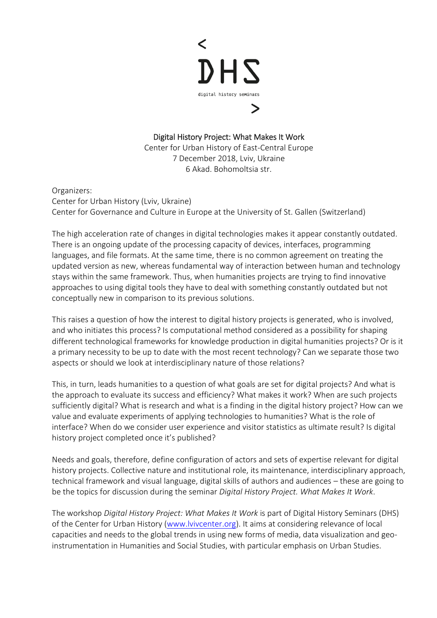

Digital History Project: What Makes It Work Center for Urban History of East-Central Europe

7 December 2018, Lviv, Ukraine 6 Akad. Bohomoltsia str.

Organizers: Center for Urban History (Lviv, Ukraine) Center for Governance and Culture in Europe at the University of St. Gallen (Switzerland)

The high acceleration rate of changes in digital technologies makes it appear constantly outdated. There is an ongoing update of the processing capacity of devices, interfaces, programming languages, and file formats. At the same time, there is no common agreement on treating the updated version as new, whereas fundamental way of interaction between human and technology stays within the same framework. Thus, when humanities projects are trying to find innovative approaches to using digital tools they have to deal with something constantly outdated but not conceptually new in comparison to its previous solutions.

This raises a question of how the interest to digital history projects is generated, who is involved, and who initiates this process? Is computational method considered as a possibility for shaping different technological frameworks for knowledge production in digital humanities projects? Or is it a primary necessity to be up to date with the most recent technology? Can we separate those two aspects or should we look at interdisciplinary nature of those relations?

This, in turn, leads humanities to a question of what goals are set for digital projects? And what is the approach to evaluate its success and efficiency? What makes it work? When are such projects sufficiently digital? What is research and what is a finding in the digital history project? How can we value and evaluate experiments of applying technologies to humanities? What is the role of interface? When do we consider user experience and visitor statistics as ultimate result? Is digital history project completed once it's published?

Needs and goals, therefore, define configuration of actors and sets of expertise relevant for digital history projects. Collective nature and institutional role, its maintenance, interdisciplinary approach, technical framework and visual language, digital skills of authors and audiences – these are going to be the topics for discussion during the seminar *Digital History Project. What Makes It Work*.

The workshop *Digital History Project: What Makes It Work* is part of Digital History Seminars (DHS) of the Center for Urban History [\(www.lvivcenter.org\)](file://10.2.0.2/Lvivcenter/LIA/LIA-Workshops/DHS_December_18/www.lvivcenter.org). It aims at considering relevance of local capacities and needs to the global trends in using new forms of media, data visualization and geoinstrumentation in Humanities and Social Studies, with particular emphasis on Urban Studies.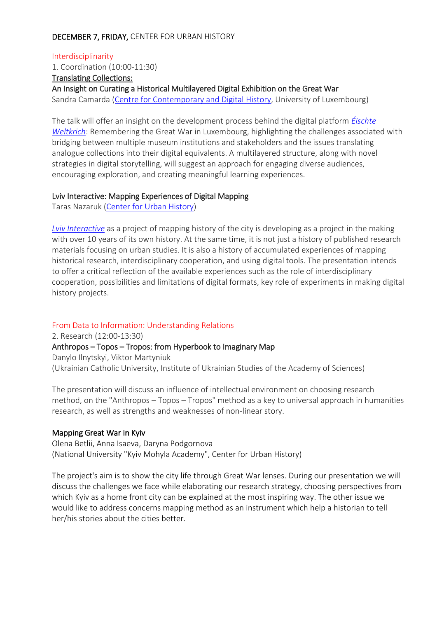### DECEMBER 7, FRIDAY, CENTER FOR URBAN HISTORY

Interdisciplinarity 1. Coordination (10:00-11:30) Translating Collections: An Insight on Curating a Historical Multilayered Digital Exhibition on the Great War Sandra Camarda [\(Centre for Contemporary and Digital History,](https://www.c2dh.uni.lu/people/sandra-camarda) University of Luxembourg)

The talk will offer an insight on the development process behind the digital platform *[Éischte](https://ww1.lu/)  [Weltkrich](https://ww1.lu/)*: Remembering the Great War in Luxembourg, highlighting the challenges associated with bridging between multiple museum institutions and stakeholders and the issues translating analogue collections into their digital equivalents. A multilayered structure, along with novel strategies in digital storytelling, will suggest an approach for engaging diverse audiences, encouraging exploration, and creating meaningful learning experiences.

#### Lviv Interactive: Mapping Experiences of Digital Mapping

Taras Nazaruk [\(Center for Urban History\)](http://www.lvivcenter.org/en/staff/146-05-taras-nazaruk/)

*[Lviv Interactive](https://lia.lvivcenter.org/)* as a project of mapping history of the city is developing as a project in the making with over 10 years of its own history. At the same time, it is not just a history of published research materials focusing on urban studies. It is also a history of accumulated experiences of mapping historical research, interdisciplinary cooperation, and using digital tools. The presentation intends to offer a critical reflection of the available experiences such as the role of interdisciplinary cooperation, possibilities and limitations of digital formats, key role of experiments in making digital history projects.

#### From Data to Information: Understanding Relations

2. Research (12:00-13:30) Anthropos – Topos – Tropos: from Hyperbook to Imaginary Map Danylo Ilnytskyi, Viktor Martyniuk (Ukrainian Catholic University, Institute of Ukrainian Studies of the Academy of Sciences)

The presentation will discuss an influence of intellectual environment on choosing research method, on the "Anthropos – Topos – Tropos" method as a key to universal approach in humanities research, as well as strengths and weaknesses of non-linear story.

#### Mapping Great War in Kyiv

Olena Betlii, Anna Isaeva, Daryna Podgornova (National University "Kyiv Mohyla Academy", Center for Urban History)

The project's aim is to show the city life through Great War lenses. During our presentation we will discuss the challenges we face while elaborating our research strategy, choosing perspectives from which Kyiv as a home front city can be explained at the most inspiring way. The other issue we would like to address concerns mapping method as an instrument which help a historian to tell her/his stories about the cities better.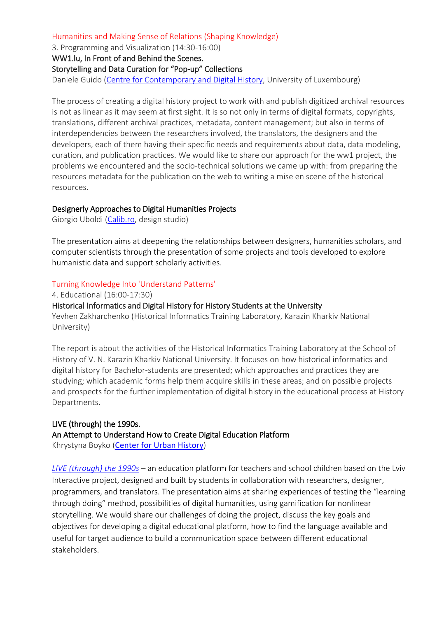### Humanities and Making Sense of Relations (Shaping Knowledge)

3. Programming and Visualization (14:30-16:00)

WW1.lu, In Front of and Behind the Scenes.

### Storytelling and Data Curation for "Pop-up" Collections

Daniele Guido [\(Centre for Contemporary and Digital History,](https://www.c2dh.uni.lu/people/daniele-guido) University of Luxembourg)

The process of creating a digital history project to work with and publish digitized archival resources is not as linear as it may seem at first sight. It is so not only in terms of digital formats, copyrights, translations, different archival practices, metadata, content management; but also in terms of interdependencies between the researchers involved, the translators, the designers and the developers, each of them having their specific needs and requirements about data, data modeling, curation, and publication practices. We would like to share our approach for the ww1 project, the problems we encountered and the socio-technical solutions we came up with: from preparing the resources metadata for the publication on the web to writing a mise en scene of the historical resources.

### Designerly Approaches to Digital Humanities Projects

Giorgio Uboldi [\(Calib.ro,](https://calib.ro/) design studio)

The presentation aims at deepening the relationships between designers, humanities scholars, and computer scientists through the presentation of some projects and tools developed to explore humanistic data and support scholarly activities.

### Turning Knowledge Into 'Understand Patterns'

4. Educational (16:00-17:30) Historical Informatics and Digital History for History Students at the University Yevhen Zakharchenko (Historical Informatics Training Laboratory, Karazin Kharkiv National University)

The report is about the activities of the Historical Informatics Training Laboratory at the School of History of V. N. Karazin Kharkiv National University. It focuses on how historical informatics and digital history for Bachelor-students are presented; which approaches and practices they are studying; which academic forms help them acquire skills in these areas; and on possible projects and prospects for the further implementation of digital history in the educational process at History Departments.

# LIVE (through) the 1990s. An Attempt to Understand How to Create Digital Education Platform

Khrystyna Boyko ([Center for Urban History](http://www.lvivcenter.org/en/staff/kh.boyko/))

*[LIVE \(through\) the 1990s](http://90s.lvivcenter.org/en/)* – an education platform for teachers and school children based on the Lviv Interactive project, designed and built by students in collaboration with researchers, designer, programmers, and translators. The presentation aims at sharing experiences of testing the "learning through doing" method, possibilities of digital humanities, using gamification for nonlinear storytelling. We would share our challenges of doing the project, discuss the key goals and objectives for developing a digital educational platform, how to find the language available and useful for target audience to build a communication space between different educational stakeholders.